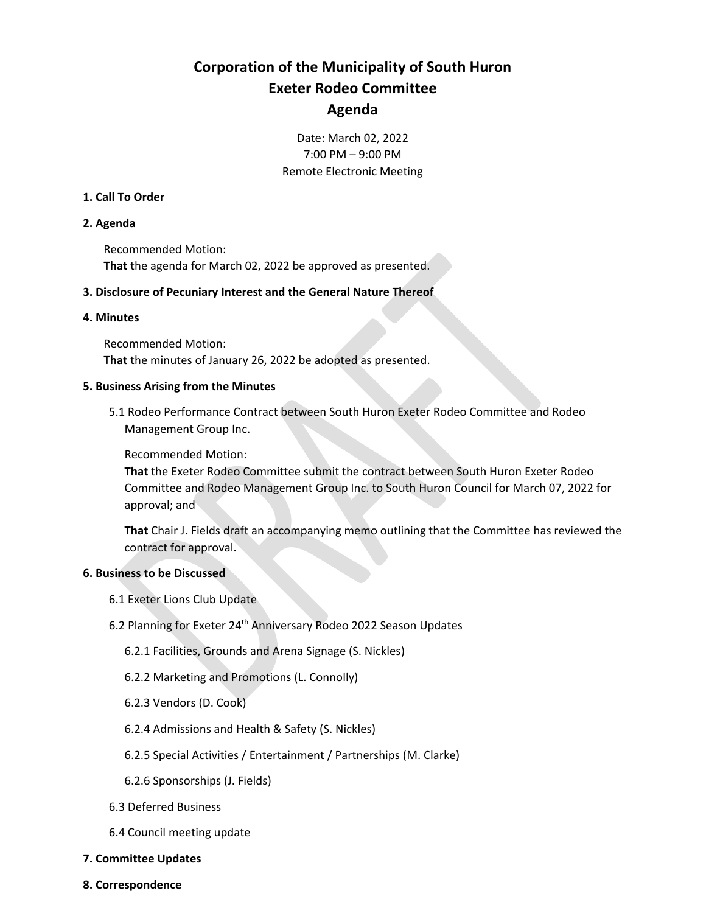# **Corporation of the Municipality of South Huron Exeter Rodeo Committee Agenda**

### Date: March 02, 2022 7:00 PM – 9:00 PM Remote Electronic Meeting

#### **1. Call To Order**

#### **2. Agenda**

Recommended Motion: **That** the agenda for March 02, 2022 be approved as presented.

#### **3. Disclosure of Pecuniary Interest and the General Nature Thereof**

#### **4. Minutes**

Recommended Motion:

**That** the minutes of January 26, 2022 be adopted as presented.

#### **5. Business Arising from the Minutes**

5.1 Rodeo Performance Contract between South Huron Exeter Rodeo Committee and Rodeo Management Group Inc.

Recommended Motion:

**That** the Exeter Rodeo Committee submit the contract between South Huron Exeter Rodeo Committee and Rodeo Management Group Inc. to South Huron Council for March 07, 2022 for approval; and

**That** Chair J. Fields draft an accompanying memo outlining that the Committee has reviewed the contract for approval.

#### **6. Business to be Discussed**

- 6.1 Exeter Lions Club Update
- 6.2 Planning for Exeter 24<sup>th</sup> Anniversary Rodeo 2022 Season Updates
	- 6.2.1 Facilities, Grounds and Arena Signage (S. Nickles)
	- 6.2.2 Marketing and Promotions (L. Connolly)
	- 6.2.3 Vendors (D. Cook)
	- 6.2.4 Admissions and Health & Safety (S. Nickles)
	- 6.2.5 Special Activities / Entertainment / Partnerships (M. Clarke)
	- 6.2.6 Sponsorships (J. Fields)
- 6.3 Deferred Business
- 6.4 Council meeting update
- **7. Committee Updates**
- **8. Correspondence**